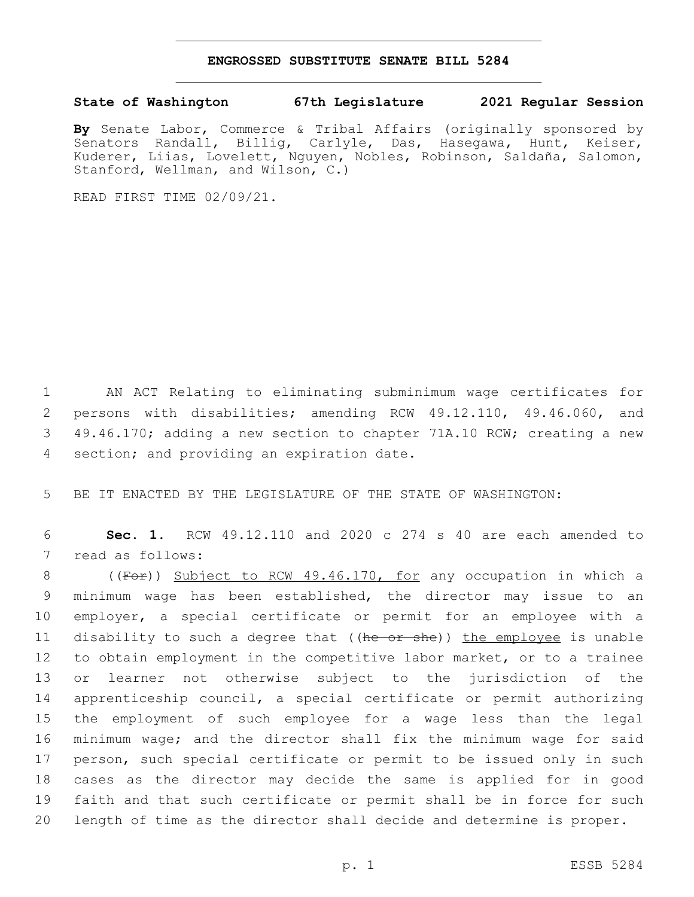## **ENGROSSED SUBSTITUTE SENATE BILL 5284**

## **State of Washington 67th Legislature 2021 Regular Session**

**By** Senate Labor, Commerce & Tribal Affairs (originally sponsored by Senators Randall, Billig, Carlyle, Das, Hasegawa, Hunt, Keiser, Kuderer, Liias, Lovelett, Nguyen, Nobles, Robinson, Saldaña, Salomon, Stanford, Wellman, and Wilson, C.)

READ FIRST TIME 02/09/21.

 AN ACT Relating to eliminating subminimum wage certificates for persons with disabilities; amending RCW 49.12.110, 49.46.060, and 49.46.170; adding a new section to chapter 71A.10 RCW; creating a new 4 section; and providing an expiration date.

5 BE IT ENACTED BY THE LEGISLATURE OF THE STATE OF WASHINGTON:

6 **Sec. 1.** RCW 49.12.110 and 2020 c 274 s 40 are each amended to 7 read as follows:

8 ((For)) Subject to RCW 49.46.170, for any occupation in which a minimum wage has been established, the director may issue to an employer, a special certificate or permit for an employee with a 11 disability to such a degree that ((he or she)) the employee is unable to obtain employment in the competitive labor market, or to a trainee or learner not otherwise subject to the jurisdiction of the apprenticeship council, a special certificate or permit authorizing the employment of such employee for a wage less than the legal minimum wage; and the director shall fix the minimum wage for said person, such special certificate or permit to be issued only in such cases as the director may decide the same is applied for in good faith and that such certificate or permit shall be in force for such length of time as the director shall decide and determine is proper.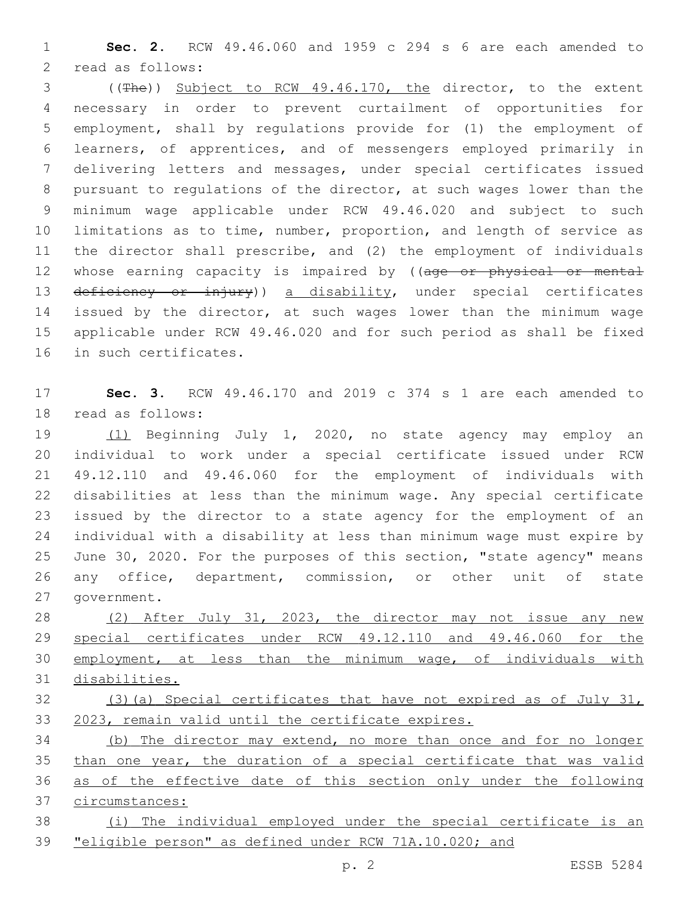**Sec. 2.** RCW 49.46.060 and 1959 c 294 s 6 are each amended to 2 read as follows:

 ((The)) Subject to RCW 49.46.170, the director, to the extent necessary in order to prevent curtailment of opportunities for employment, shall by regulations provide for (1) the employment of learners, of apprentices, and of messengers employed primarily in delivering letters and messages, under special certificates issued pursuant to regulations of the director, at such wages lower than the minimum wage applicable under RCW 49.46.020 and subject to such limitations as to time, number, proportion, and length of service as the director shall prescribe, and (2) the employment of individuals 12 whose earning capacity is impaired by ((age or physical or mental 13 deficiency or injury)) a disability, under special certificates issued by the director, at such wages lower than the minimum wage applicable under RCW 49.46.020 and for such period as shall be fixed 16 in such certificates.

 **Sec. 3.** RCW 49.46.170 and 2019 c 374 s 1 are each amended to 18 read as follows:

 (1) Beginning July 1, 2020, no state agency may employ an individual to work under a special certificate issued under RCW 49.12.110 and 49.46.060 for the employment of individuals with disabilities at less than the minimum wage. Any special certificate issued by the director to a state agency for the employment of an individual with a disability at less than minimum wage must expire by June 30, 2020. For the purposes of this section, "state agency" means any office, department, commission, or other unit of state 27 government.

 (2) After July 31, 2023, the director may not issue any new special certificates under RCW 49.12.110 and 49.46.060 for the employment, at less than the minimum wage, of individuals with disabilities.

 (3)(a) Special certificates that have not expired as of July 31, 2023, remain valid until the certificate expires.

 (b) The director may extend, no more than once and for no longer than one year, the duration of a special certificate that was valid as of the effective date of this section only under the following circumstances: (i) The individual employed under the special certificate is an

"eligible person" as defined under RCW 71A.10.020; and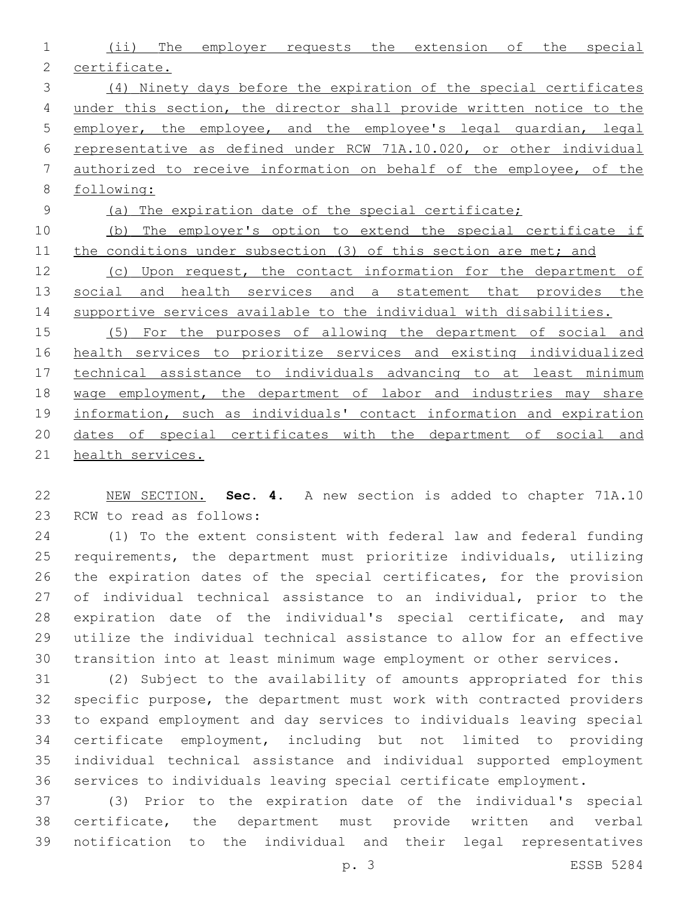(ii) The employer requests the extension of the special certificate. (4) Ninety days before the expiration of the special certificates under this section, the director shall provide written notice to the employer, the employee, and the employee's legal guardian, legal representative as defined under RCW 71A.10.020, or other individual authorized to receive information on behalf of the employee, of the following: (a) The expiration date of the special certificate; (b) The employer's option to extend the special certificate if 11 the conditions under subsection (3) of this section are met; and 12 (c) Upon request, the contact information for the department of 13 social and health services and a statement that provides the 14 supportive services available to the individual with disabilities. (5) For the purposes of allowing the department of social and health services to prioritize services and existing individualized technical assistance to individuals advancing to at least minimum wage employment, the department of labor and industries may share information, such as individuals' contact information and expiration dates of special certificates with the department of social and

health services.

 NEW SECTION. **Sec. 4.** A new section is added to chapter 71A.10 23 RCW to read as follows:

 (1) To the extent consistent with federal law and federal funding requirements, the department must prioritize individuals, utilizing the expiration dates of the special certificates, for the provision of individual technical assistance to an individual, prior to the expiration date of the individual's special certificate, and may utilize the individual technical assistance to allow for an effective transition into at least minimum wage employment or other services.

 (2) Subject to the availability of amounts appropriated for this specific purpose, the department must work with contracted providers to expand employment and day services to individuals leaving special certificate employment, including but not limited to providing individual technical assistance and individual supported employment services to individuals leaving special certificate employment.

 (3) Prior to the expiration date of the individual's special certificate, the department must provide written and verbal notification to the individual and their legal representatives